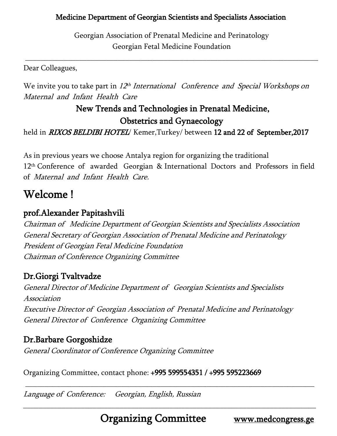Georgian Association of Prenatal Medicine and Perinatology Georgian Fetal Medicine Foundation

\_\_\_\_\_\_\_\_\_\_\_\_\_\_\_\_\_\_\_\_\_\_\_\_\_\_\_\_\_\_\_\_\_\_\_\_\_\_\_\_\_\_\_\_\_\_\_\_\_\_\_\_\_\_\_\_\_\_\_\_\_\_\_\_\_\_\_\_\_\_\_\_\_\_\_\_

Dear Colleagues,

We invite you to take part in 12<sup>th</sup> International Conference and Special Workshops on Maternal and Infant Health Care

## New Trends and Technologies in Prenatal Medicine, Obstetrics and Gynaecology

held in *RIXOS BELDIBI HOTEL*/ Kemer, Turkey/ between 12 and 22 of September, 2017

As in previous years we choose Antalya region for organizing the traditional 12th Conference of awarded Georgian & International Doctors and Professors in field of Maternal and Infant Health Care.

# Welcome !

### prof.Alexander Papitashvili

Chairman of Medicine Department of Georgian Scientists and Specialists Association General Secretary of Georgian Association of Prenatal Medicine and Perinatology President of Georgian Fetal Medicine Foundation Chairman of Conference Organizing Committee

## Dr.Giorgi Tvaltvadze

General Director of Medicine Department of Georgian Scientists and Specialists Association Executive Director of Georgian Association of Prenatal Medicine and Perinatology General Director of Conference Organizing Committee

## Dr.Barbare Gorgoshidze

General Coordinator of Conference Organizing Committee

Organizing Committee, contact phone: +995 599554351 / +995 595223669

Language of Conference: Georgian, English, Russian

\_\_\_\_\_\_\_\_\_\_\_\_\_\_\_\_\_\_\_\_\_\_\_\_\_\_\_\_\_\_\_\_\_\_\_\_\_\_\_\_\_\_\_\_\_\_\_\_\_\_\_\_\_\_\_\_\_\_\_\_\_\_\_\_\_\_\_\_\_\_\_\_\_\_\_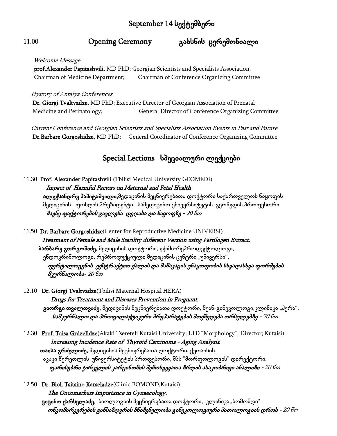# September 14 სექტემბერი

### 11.00 Opening Ceremony გახსნის ცერემონიალი

#### Welcome Message

 prof.Alexander Papitashvili, MD PhD; Georgian Scientists and Specialists Association, Chairman of Medicine Department; Chairman of Conference Organizing Committee

#### Hystory of Antalya Conferences

 Dr. Giorgi Tvaltvadze, MD PhD; Executive Director of Georgian Association of Prenatal Medicine and Perinatology; General Director of Conference Organizing Committee

 Current Conference and Georgian Scientists and Specialists Association Events in Past and Future Dr.Barbare Gorgoshidze, MD PhD; General Coordinator of Conference Organizing Committee

### Special Lections სპეციალური ლექციები

11.30 Prof. Alexander Papitashvili (Tbilisi Medical University GEOMEDI) Impact of Harmful Factors on Maternal and Fetal Health ა**ლექსანდრე პაპიტაშვილი,**მედიცინის მეცნიერებათა დოქტორი საქართველოს ნაყოფის მედიცინის ფონდის პრეზიდენტი, ,სამედიცინო უნივერსიტეტის გეომედის პროფესორი. მავნე ფაქტორების გავლენა დედასა და ნაყოფზე - 20 წთ

11.50 Dr. Barbare Gorgoshidze(Center for Reproductive Medicine UNIVERSI) Treatment of Female and Male Sterility different Version using Fertilogen Extract. ბარბარე გორგოშიძე, მედიცინის დოქტორი, ექიმი-რეპროდუქტოლოგი, ენდოკრინოლოგი, რეპროდუქციული მედიცინის ცენტრი "უნივერსი". ფერტილოგენის ექსტრაქტით ქალის და მამაკაცის უნაყოფობის სხვადასხვა ფორმების მკურნალობა- 20 წთ

12.10 Dr. Giorgi Tvaltvadze(Tbilisi Maternal Hospital HERA) Drugs for Treatment and Diseases Prevention in Pregnant. გიორგი თვალთვაძე, მედიცინის მეცნიერებათა დოქტორი, მეან-გინეკოლოგი,კლინიკა "ჰერა". სამკურნალო და პროფილაქტიკური პრეპარატების მოქმედება ორსულებზე - 20 წთ

12.30 Prof. Taisa Grdzelidze(Akaki Tsereteli Kutaisi University; LTD "Morphology", Director; Kutaisi) Increasing Incidence Rate of Thyroid Carcinoma - Aging Analysis. თაისა გრძელიძე, მედიცინის მეცნიერებათა დოქტორი, ქუთაისის აკაკი წერეთლის უნივერსიტეტის პროფესორი, შპს "მორფოლოგის" დირექტორი. ფარისებრი ჯირკვლის კარცინომის შემთხვევათა ზრდის ასაკობრივი ანალიზი - 20 წთ

12.50 Dr. Biol. Tsitsino Karseladze(Clinic BOMOND,Kutaisi) The Oncomarkers Importance in Gynaecology. ც**იცინო ქარსელაძე,** ბიოლოგიის მეცნიერებათა დოქტორი, კლინიკა,,ბომონდი". ონკომარკერების განსაზღვრის მნიშვნელობა გინეკოლოგიური პათოლოგიის დროს - 20 წთ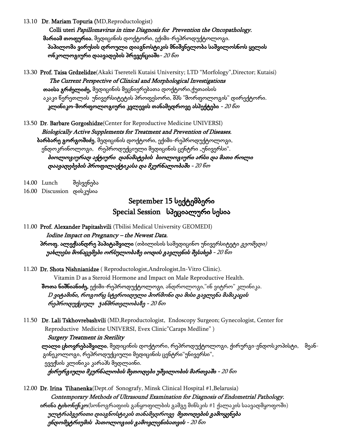13.10 Dr. Mariam Topuria (MD,Reproductologist)

 Colli uteri Papillomavirus in time Diagnosis for Prevention the Oncopathology. მარიამ თოფურია, მედიცინის დოქტორი, ექიმი-რეპროდუქტოლოგი. პაპილომა ვირუსის დროული დიაგნოსტიკის მნიშვნელობა საშვილოსნოს ყელის ონკოლოგიური დაავადების პრევენციაში - 20 წთ

13.30 Prof. Taisa Grdzelidze(Akaki Tsereteli Kutaisi University; LTD "Morfology", Director; Kutaisi) The Current Perspective of Clinical and Morphological Investigations თაისა გრძელიძე, მედიცინის მეცნიერებათა დოქტორი,ქუთაისის აკაკი წერეთლის უნივერსიტეტის პროფესორი, შპს "მორფოლოგის" დირექტორი. კლინიკო-მორფოლოგიური კვლევის თანამედროვე ასპექტები -  $20\,6$ თ

13.50 Dr. Barbare Gorgoshidze(Center for Reproductive Medicine UNIVERSI) Biologically Active Supplements for Treatment and Prevention of Diseases. <mark>ბარბარე გორგოშიძე</mark>, მედიცინის დოქტორი, ექიმი-რეპროდუქტოლოგი, ენდოკრინოლოგი, რეპროდუქციული მედიცინის ცენტრი "უნივერსი". ბიოლოგიურად აქტიური დანამატების ბიოლოგიური არსი და მათი როლი დაავადებების პროფილაქტიკასა და მკურნალობაში - 20 წთ

- 14.00 Lunch შესვენება
- 16.00 Discussion დისკუსია

### September 15 სექტემბერი Special Session სპეციალური სესია

- 11.00 Prof. Alexander Papitashvili (Tbilisi Medical University GEOMEDI) Iodine Impact on Pregnancy – the Newest Data. პროფ. ალექსანდრე პაპიტაშვილი (თბილისის სამედიცინო უნივერსიტეტი *გეომედი)* უახლესი მონაცემები ორსულობაზე იოდის გავლენის შესახებ - 20 წთ
- 11.20 Dr. Shota Nishnianidze ( Reproductologist,Andrologist,In-Vitro Clinic). Vitamin D as a Steroid Hormone and Impact on Male Reproductive Health.

შოთა ნიშნიანიძე, ექიმი-რეპროდუქტოლოგი, ანდროლოგი,"ინ ვიტრო" კლინიკა. <sup>D</sup>ვიტამინი, როგორც სტეროიდული ჰორმონი და მისი გავლენა მამაკაცის რეპროდუქციულ ჯანმრთელობაზე - 20 წთ

11.50 Dr. Lali Tskhovrebashvili (MD, Reproductologist, Endoscopy Surgeon; Gynecologist, Center for Reproductive Medicine UNIVERSI, Evex Clinic"Caraps Medline" )

### Surgery Treatment in Sterility

<mark>ლალი ცხოვრებაშვილი</mark>, მედიცინის დოქტორი, რეპროდუქტოლოგი, ქირურგი-ენდოსკოპისტი, მეანგინეკოლოგი, რეპროდუქციული მედიცინის ცენტრი"უნივერსი", ევექსის კლინიკა კარაპს მედლაინი.

ქირურგიული მკურნალობის მეთოდები უშვილობის მართვაში - 20 წთ

12.00 Dr. Irina Tihanenka(Dept.of Sonografy, Minsk Clinical Hospital #1,Belarusia) Contemporary Methods of Ultrasound Examination for Diagnosis of Endometrial Pathology. ირინა ტიხონენკო(სონოგრაფიის განყოფილბის გამგე მინსკის #1 ქალაკის საავადმყოფოში) ულტრაბგერითი დიაგნოსტიკის თანამედროვე მეთოდების გამოყენება ენდომეტრიუმის პათოლოგიის გამოვლენისათვის - 20 წთ